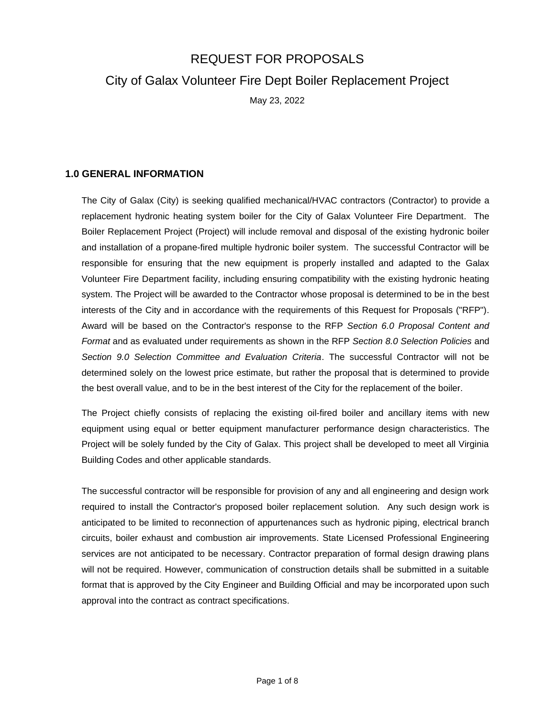# REQUEST FOR PROPOSALS City of Galax Volunteer Fire Dept Boiler Replacement Project

May 23, 2022

### **1.0 GENERAL INFORMATION**

The City of Galax (City) is seeking qualified mechanical/HVAC contractors (Contractor) to provide a replacement hydronic heating system boiler for the City of Galax Volunteer Fire Department. The Boiler Replacement Project (Project) will include removal and disposal of the existing hydronic boiler and installation of a propane-fired multiple hydronic boiler system. The successful Contractor will be responsible for ensuring that the new equipment is properly installed and adapted to the Galax Volunteer Fire Department facility, including ensuring compatibility with the existing hydronic heating system. The Project will be awarded to the Contractor whose proposal is determined to be in the best interests of the City and in accordance with the requirements of this Request for Proposals ("RFP"). Award will be based on the Contractor's response to the RFP *Section 6.0 Proposal Content and Format* and as evaluated under requirements as shown in the RFP *Section 8.0 Selection Policies* and *Section 9.0 Selection Committee and Evaluation Criteria*. The successful Contractor will not be determined solely on the lowest price estimate, but rather the proposal that is determined to provide the best overall value, and to be in the best interest of the City for the replacement of the boiler.

The Project chiefly consists of replacing the existing oil-fired boiler and ancillary items with new equipment using equal or better equipment manufacturer performance design characteristics. The Project will be solely funded by the City of Galax. This project shall be developed to meet all Virginia Building Codes and other applicable standards.

The successful contractor will be responsible for provision of any and all engineering and design work required to install the Contractor's proposed boiler replacement solution. Any such design work is anticipated to be limited to reconnection of appurtenances such as hydronic piping, electrical branch circuits, boiler exhaust and combustion air improvements. State Licensed Professional Engineering services are not anticipated to be necessary. Contractor preparation of formal design drawing plans will not be required. However, communication of construction details shall be submitted in a suitable format that is approved by the City Engineer and Building Official and may be incorporated upon such approval into the contract as contract specifications.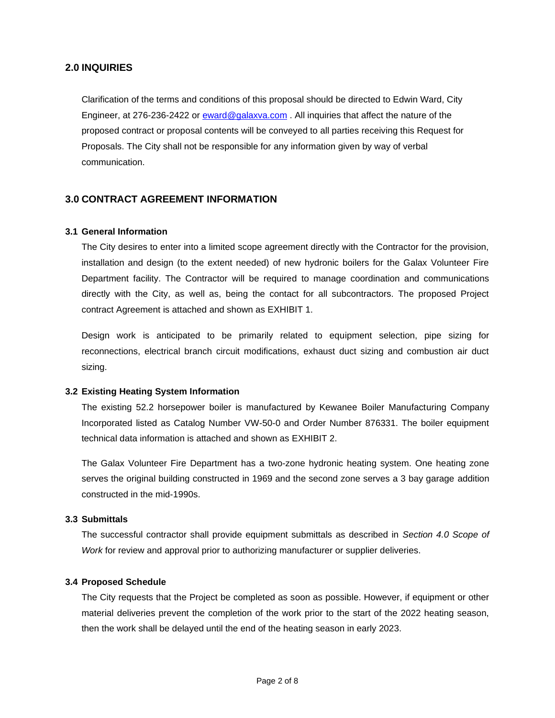### **2.0 INQUIRIES**

Clarification of the terms and conditions of this proposal should be directed to Edwin Ward, City Engineer, at 276-236-2422 or [eward@galaxva.com](mailto:eward@galaxva.com) . All inquiries that affect the nature of the proposed contract or proposal contents will be conveyed to all parties receiving this Request for Proposals. The City shall not be responsible for any information given by way of verbal communication.

### **3.0 CONTRACT AGREEMENT INFORMATION**

#### **3.1 General Information**

The City desires to enter into a limited scope agreement directly with the Contractor for the provision, installation and design (to the extent needed) of new hydronic boilers for the Galax Volunteer Fire Department facility. The Contractor will be required to manage coordination and communications directly with the City, as well as, being the contact for all subcontractors. The proposed Project contract Agreement is attached and shown as EXHIBIT 1.

Design work is anticipated to be primarily related to equipment selection, pipe sizing for reconnections, electrical branch circuit modifications, exhaust duct sizing and combustion air duct sizing.

#### **3.2 Existing Heating System Information**

The existing 52.2 horsepower boiler is manufactured by Kewanee Boiler Manufacturing Company Incorporated listed as Catalog Number VW-50-0 and Order Number 876331. The boiler equipment technical data information is attached and shown as EXHIBIT 2.

The Galax Volunteer Fire Department has a two-zone hydronic heating system. One heating zone serves the original building constructed in 1969 and the second zone serves a 3 bay garage addition constructed in the mid-1990s.

#### **3.3 Submittals**

The successful contractor shall provide equipment submittals as described in *Section 4.0 Scope of Work* for review and approval prior to authorizing manufacturer or supplier deliveries.

#### **3.4 Proposed Schedule**

The City requests that the Project be completed as soon as possible. However, if equipment or other material deliveries prevent the completion of the work prior to the start of the 2022 heating season, then the work shall be delayed until the end of the heating season in early 2023.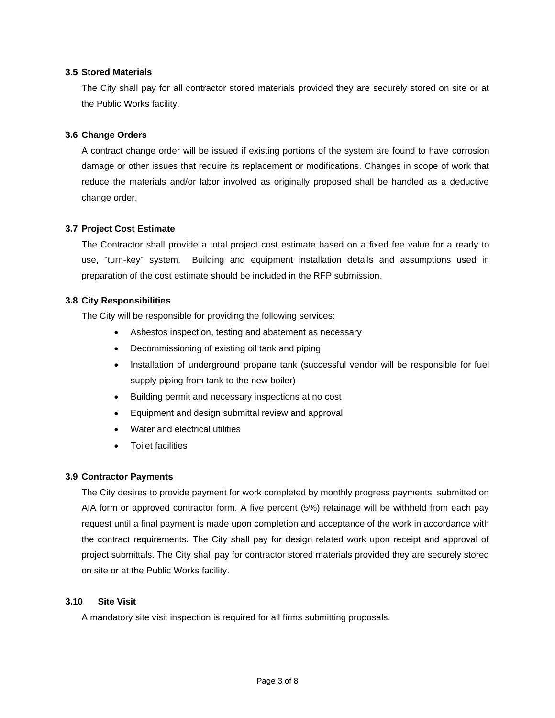#### **3.5 Stored Materials**

The City shall pay for all contractor stored materials provided they are securely stored on site or at the Public Works facility.

#### **3.6 Change Orders**

A contract change order will be issued if existing portions of the system are found to have corrosion damage or other issues that require its replacement or modifications. Changes in scope of work that reduce the materials and/or labor involved as originally proposed shall be handled as a deductive change order.

### **3.7 Project Cost Estimate**

The Contractor shall provide a total project cost estimate based on a fixed fee value for a ready to use, "turn-key" system. Building and equipment installation details and assumptions used in preparation of the cost estimate should be included in the RFP submission.

### **3.8 City Responsibilities**

The City will be responsible for providing the following services:

- Asbestos inspection, testing and abatement as necessary
- Decommissioning of existing oil tank and piping
- Installation of underground propane tank (successful vendor will be responsible for fuel supply piping from tank to the new boiler)
- Building permit and necessary inspections at no cost
- Equipment and design submittal review and approval
- Water and electrical utilities
- Toilet facilities

### **3.9 Contractor Payments**

The City desires to provide payment for work completed by monthly progress payments, submitted on AIA form or approved contractor form. A five percent (5%) retainage will be withheld from each pay request until a final payment is made upon completion and acceptance of the work in accordance with the contract requirements. The City shall pay for design related work upon receipt and approval of project submittals. The City shall pay for contractor stored materials provided they are securely stored on site or at the Public Works facility.

#### **3.10 Site Visit**

A mandatory site visit inspection is required for all firms submitting proposals.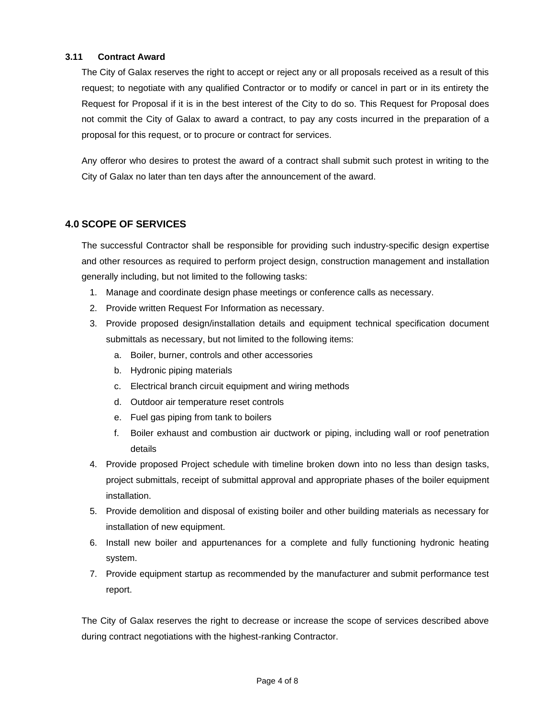### **3.11 Contract Award**

The City of Galax reserves the right to accept or reject any or all proposals received as a result of this request; to negotiate with any qualified Contractor or to modify or cancel in part or in its entirety the Request for Proposal if it is in the best interest of the City to do so. This Request for Proposal does not commit the City of Galax to award a contract, to pay any costs incurred in the preparation of a proposal for this request, or to procure or contract for services.

Any offeror who desires to protest the award of a contract shall submit such protest in writing to the City of Galax no later than ten days after the announcement of the award.

### **4.0 SCOPE OF SERVICES**

The successful Contractor shall be responsible for providing such industry-specific design expertise and other resources as required to perform project design, construction management and installation generally including, but not limited to the following tasks:

- 1. Manage and coordinate design phase meetings or conference calls as necessary.
- 2. Provide written Request For Information as necessary.
- 3. Provide proposed design/installation details and equipment technical specification document submittals as necessary, but not limited to the following items:
	- a. Boiler, burner, controls and other accessories
	- b. Hydronic piping materials
	- c. Electrical branch circuit equipment and wiring methods
	- d. Outdoor air temperature reset controls
	- e. Fuel gas piping from tank to boilers
	- f. Boiler exhaust and combustion air ductwork or piping, including wall or roof penetration details
- 4. Provide proposed Project schedule with timeline broken down into no less than design tasks, project submittals, receipt of submittal approval and appropriate phases of the boiler equipment installation.
- 5. Provide demolition and disposal of existing boiler and other building materials as necessary for installation of new equipment.
- 6. Install new boiler and appurtenances for a complete and fully functioning hydronic heating system.
- 7. Provide equipment startup as recommended by the manufacturer and submit performance test report.

The City of Galax reserves the right to decrease or increase the scope of services described above during contract negotiations with the highest-ranking Contractor.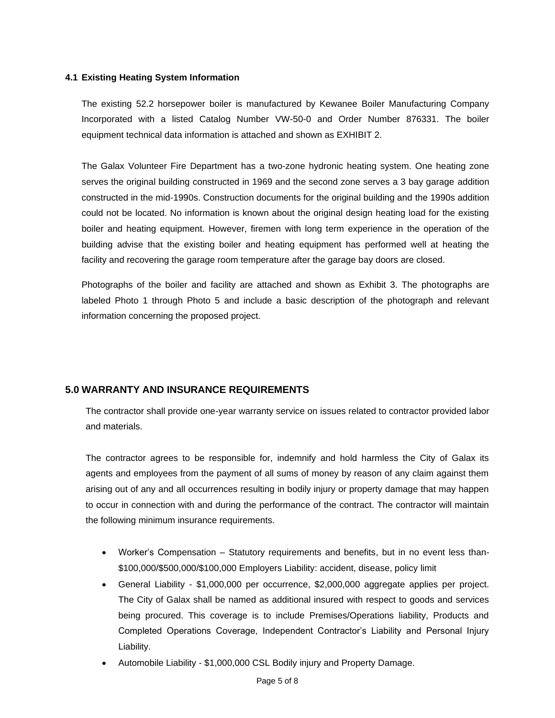### **4.1 Existing Heating System Information**

The existing 52.2 horsepower boiler is manufactured by Kewanee Boiler Manufacturing Company Incorporated with a listed Catalog Number VW-50-0 and Order Number 876331. The boiler equipment technical data information is attached and shown as EXHIBIT 2.

The Galax Volunteer Fire Department has a two-zone hydronic heating system. One heating zone serves the original building constructed in 1969 and the second zone serves a 3 bay garage addition constructed in the mid-1990s. Construction documents for the original building and the 1990s addition could not be located. No information is known about the original design heating load for the existing boiler and heating equipment. However, firemen with long term experience in the operation of the building advise that the existing boiler and heating equipment has performed well at heating the facility and recovering the garage room temperature after the garage bay doors are closed.

Photographs of the boiler and facility are attached and shown as Exhibit 3. The photographs are labeled Photo 1 through Photo 5 and include a basic description of the photograph and relevant information concerning the proposed project.

### **5.0 WARRANTY AND INSURANCE REQUIREMENTS**

The contractor shall provide one-year warranty service on issues related to contractor provided labor and materials.

The contractor agrees to be responsible for, indemnify and hold harmless the City of Galax its agents and employees from the payment of all sums of money by reason of any claim against them arising out of any and all occurrences resulting in bodily injury or property damage that may happen to occur in connection with and during the performance of the contract. The contractor will maintain the following minimum insurance requirements.

- Worker's Compensation Statutory requirements and benefits, but in no event less than- \$100,000/\$500,000/\$100,000 Employers Liability: accident, disease, policy limit
- General Liability \$1,000,000 per occurrence, \$2,000,000 aggregate applies per project. The City of Galax shall be named as additional insured with respect to goods and services being procured. This coverage is to include Premises/Operations liability, Products and Completed Operations Coverage, Independent Contractor's Liability and Personal Injury Liability.
- Automobile Liability \$1,000,000 CSL Bodily injury and Property Damage.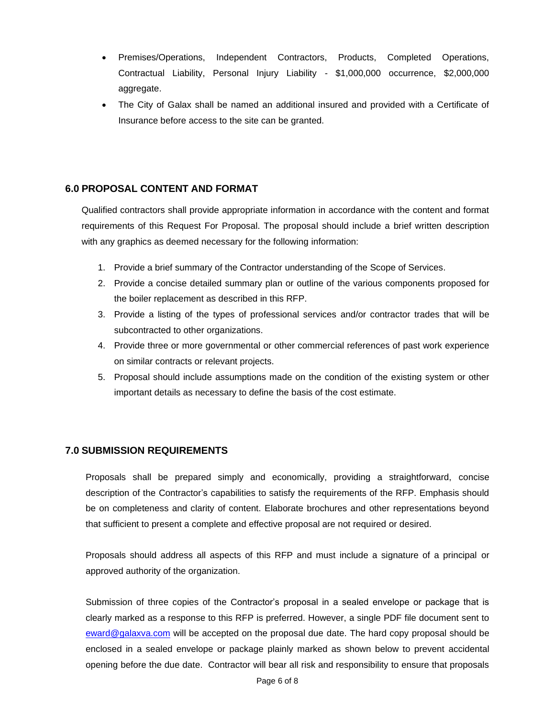- Premises/Operations, Independent Contractors, Products, Completed Operations, Contractual Liability, Personal Injury Liability - \$1,000,000 occurrence, \$2,000,000 aggregate.
- The City of Galax shall be named an additional insured and provided with a Certificate of Insurance before access to the site can be granted.

### **6.0 PROPOSAL CONTENT AND FORMAT**

Qualified contractors shall provide appropriate information in accordance with the content and format requirements of this Request For Proposal. The proposal should include a brief written description with any graphics as deemed necessary for the following information:

- 1. Provide a brief summary of the Contractor understanding of the Scope of Services.
- 2. Provide a concise detailed summary plan or outline of the various components proposed for the boiler replacement as described in this RFP.
- 3. Provide a listing of the types of professional services and/or contractor trades that will be subcontracted to other organizations.
- 4. Provide three or more governmental or other commercial references of past work experience on similar contracts or relevant projects.
- 5. Proposal should include assumptions made on the condition of the existing system or other important details as necessary to define the basis of the cost estimate.

### **7.0 SUBMISSION REQUIREMENTS**

Proposals shall be prepared simply and economically, providing a straightforward, concise description of the Contractor's capabilities to satisfy the requirements of the RFP. Emphasis should be on completeness and clarity of content. Elaborate brochures and other representations beyond that sufficient to present a complete and effective proposal are not required or desired.

Proposals should address all aspects of this RFP and must include a signature of a principal or approved authority of the organization.

Submission of three copies of the Contractor's proposal in a sealed envelope or package that is clearly marked as a response to this RFP is preferred. However, a single PDF file document sent to [eward@galaxva.com](mailto:eward@galaxva.com) will be accepted on the proposal due date. The hard copy proposal should be enclosed in a sealed envelope or package plainly marked as shown below to prevent accidental opening before the due date. Contractor will bear all risk and responsibility to ensure that proposals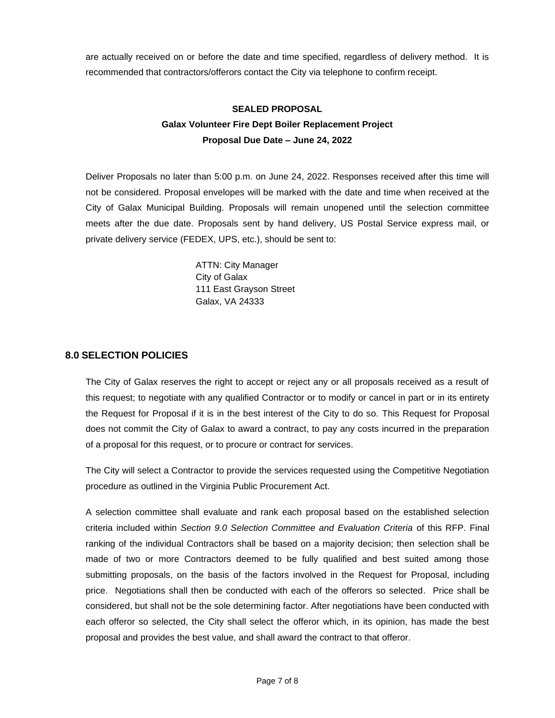are actually received on or before the date and time specified, regardless of delivery method. It is recommended that contractors/offerors contact the City via telephone to confirm receipt.

### **SEALED PROPOSAL Galax Volunteer Fire Dept Boiler Replacement Project Proposal Due Date – June 24, 2022**

Deliver Proposals no later than 5:00 p.m. on June 24, 2022. Responses received after this time will not be considered. Proposal envelopes will be marked with the date and time when received at the City of Galax Municipal Building. Proposals will remain unopened until the selection committee meets after the due date. Proposals sent by hand delivery, US Postal Service express mail, or private delivery service (FEDEX, UPS, etc.), should be sent to:

> ATTN: City Manager City of Galax 111 East Grayson Street Galax, VA 24333

### **8.0 SELECTION POLICIES**

The City of Galax reserves the right to accept or reject any or all proposals received as a result of this request; to negotiate with any qualified Contractor or to modify or cancel in part or in its entirety the Request for Proposal if it is in the best interest of the City to do so. This Request for Proposal does not commit the City of Galax to award a contract, to pay any costs incurred in the preparation of a proposal for this request, or to procure or contract for services.

The City will select a Contractor to provide the services requested using the Competitive Negotiation procedure as outlined in the Virginia Public Procurement Act.

A selection committee shall evaluate and rank each proposal based on the established selection criteria included within *Section 9.0 Selection Committee and Evaluation Criteria* of this RFP. Final ranking of the individual Contractors shall be based on a majority decision; then selection shall be made of two or more Contractors deemed to be fully qualified and best suited among those submitting proposals, on the basis of the factors involved in the Request for Proposal, including price. Negotiations shall then be conducted with each of the offerors so selected. Price shall be considered, but shall not be the sole determining factor. After negotiations have been conducted with each offeror so selected, the City shall select the offeror which, in its opinion, has made the best proposal and provides the best value, and shall award the contract to that offeror.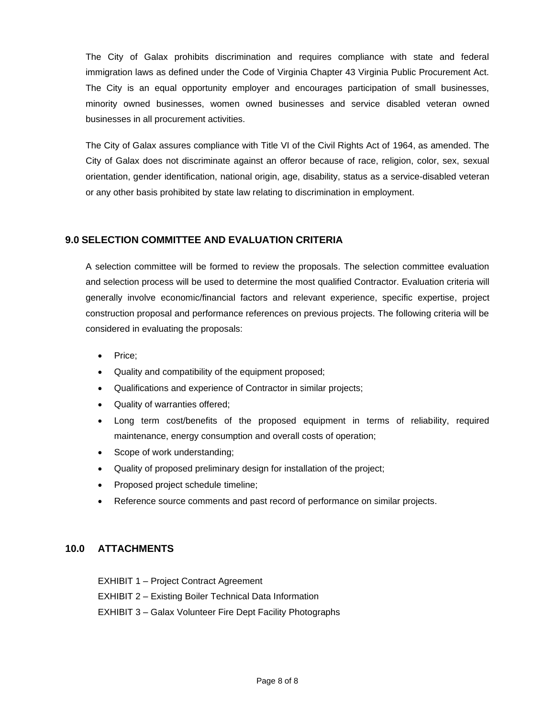The City of Galax prohibits discrimination and requires compliance with state and federal immigration laws as defined under the Code of Virginia Chapter 43 Virginia Public Procurement Act. The City is an equal opportunity employer and encourages participation of small businesses, minority owned businesses, women owned businesses and service disabled veteran owned businesses in all procurement activities.

The City of Galax assures compliance with Title VI of the Civil Rights Act of 1964, as amended. The City of Galax does not discriminate against an offeror because of race, religion, color, sex, sexual orientation, gender identification, national origin, age, disability, status as a service-disabled veteran or any other basis prohibited by state law relating to discrimination in employment.

### **9.0 SELECTION COMMITTEE AND EVALUATION CRITERIA**

A selection committee will be formed to review the proposals. The selection committee evaluation and selection process will be used to determine the most qualified Contractor. Evaluation criteria will generally involve economic/financial factors and relevant experience, specific expertise, project construction proposal and performance references on previous projects. The following criteria will be considered in evaluating the proposals:

- Price;
- Quality and compatibility of the equipment proposed;
- Qualifications and experience of Contractor in similar projects;
- Quality of warranties offered;
- Long term cost/benefits of the proposed equipment in terms of reliability, required maintenance, energy consumption and overall costs of operation;
- Scope of work understanding;
- Quality of proposed preliminary design for installation of the project;
- Proposed project schedule timeline;
- Reference source comments and past record of performance on similar projects.

#### **10.0 ATTACHMENTS**

- EXHIBIT 1 Project Contract Agreement
- EXHIBIT 2 Existing Boiler Technical Data Information
- EXHIBIT 3 Galax Volunteer Fire Dept Facility Photographs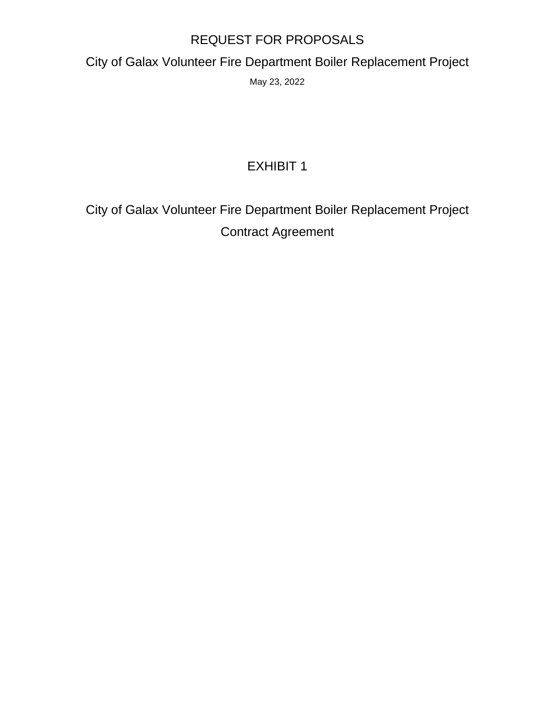### REQUEST FOR PROPOSALS

City of Galax Volunteer Fire Department Boiler Replacement Project

May 23, 2022

## EXHIBIT 1

City of Galax Volunteer Fire Department Boiler Replacement Project Contract Agreement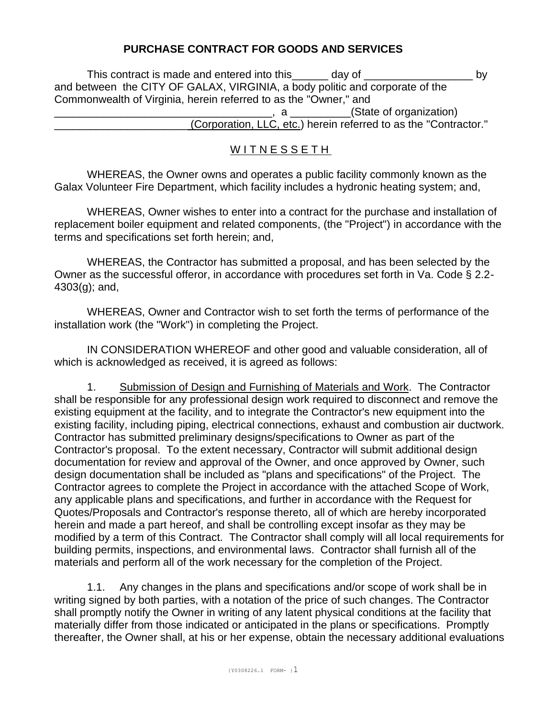### **PURCHASE CONTRACT FOR GOODS AND SERVICES**

This contract is made and entered into this day of the solution by and between the CITY OF GALAX, VIRGINIA, a body politic and corporate of the Commonwealth of Virginia, herein referred to as the "Owner," and  $\Box$ , a  $\underline{\hspace{1cm}}$  a  $\underline{\hspace{1cm}}$   $\Box$  (State of organization) \_\_\_\_\_\_\_\_\_\_\_\_\_\_\_\_\_\_\_\_\_\_ (Corporation, LLC, etc.) herein referred to as the "Contractor."

### WITNESSETH

WHEREAS, the Owner owns and operates a public facility commonly known as the Galax Volunteer Fire Department, which facility includes a hydronic heating system; and,

WHEREAS, Owner wishes to enter into a contract for the purchase and installation of replacement boiler equipment and related components, (the "Project") in accordance with the terms and specifications set forth herein; and,

WHEREAS, the Contractor has submitted a proposal, and has been selected by the Owner as the successful offeror, in accordance with procedures set forth in Va. Code § 2.2- 4303(g); and,

WHEREAS, Owner and Contractor wish to set forth the terms of performance of the installation work (the "Work") in completing the Project.

IN CONSIDERATION WHEREOF and other good and valuable consideration, all of which is acknowledged as received, it is agreed as follows:

1. Submission of Design and Furnishing of Materials and Work. The Contractor shall be responsible for any professional design work required to disconnect and remove the existing equipment at the facility, and to integrate the Contractor's new equipment into the existing facility, including piping, electrical connections, exhaust and combustion air ductwork. Contractor has submitted preliminary designs/specifications to Owner as part of the Contractor's proposal. To the extent necessary, Contractor will submit additional design documentation for review and approval of the Owner, and once approved by Owner, such design documentation shall be included as "plans and specifications" of the Project. The Contractor agrees to complete the Project in accordance with the attached Scope of Work, any applicable plans and specifications, and further in accordance with the Request for Quotes/Proposals and Contractor's response thereto, all of which are hereby incorporated herein and made a part hereof, and shall be controlling except insofar as they may be modified by a term of this Contract. The Contractor shall comply will all local requirements for building permits, inspections, and environmental laws. Contractor shall furnish all of the materials and perform all of the work necessary for the completion of the Project.

1.1. Any changes in the plans and specifications and/or scope of work shall be in writing signed by both parties, with a notation of the price of such changes. The Contractor shall promptly notify the Owner in writing of any latent physical conditions at the facility that materially differ from those indicated or anticipated in the plans or specifications. Promptly thereafter, the Owner shall, at his or her expense, obtain the necessary additional evaluations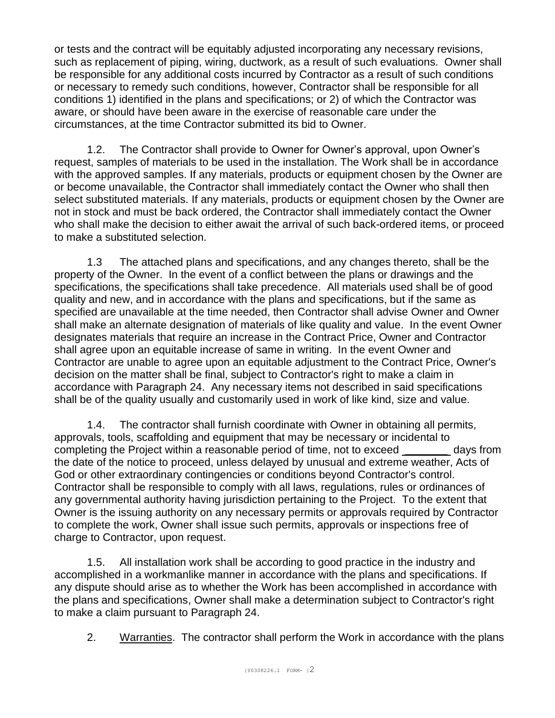or tests and the contract will be equitably adjusted incorporating any necessary revisions, such as replacement of piping, wiring, ductwork, as a result of such evaluations. Owner shall be responsible for any additional costs incurred by Contractor as a result of such conditions or necessary to remedy such conditions, however, Contractor shall be responsible for all conditions 1) identified in the plans and specifications; or 2) of which the Contractor was aware, or should have been aware in the exercise of reasonable care under the circumstances, at the time Contractor submitted its bid to Owner.

1.2. The Contractor shall provide to Owner for Owner's approval, upon Owner's request, samples of materials to be used in the installation. The Work shall be in accordance with the approved samples. If any materials, products or equipment chosen by the Owner are or become unavailable, the Contractor shall immediately contact the Owner who shall then select substituted materials. If any materials, products or equipment chosen by the Owner are not in stock and must be back ordered, the Contractor shall immediately contact the Owner who shall make the decision to either await the arrival of such back-ordered items, or proceed to make a substituted selection.

1.3 The attached plans and specifications, and any changes thereto, shall be the property of the Owner. In the event of a conflict between the plans or drawings and the specifications, the specifications shall take precedence. All materials used shall be of good quality and new, and in accordance with the plans and specifications, but if the same as specified are unavailable at the time needed, then Contractor shall advise Owner and Owner shall make an alternate designation of materials of like quality and value. In the event Owner designates materials that require an increase in the Contract Price, Owner and Contractor shall agree upon an equitable increase of same in writing. In the event Owner and Contractor are unable to agree upon an equitable adjustment to the Contract Price, Owner's decision on the matter shall be final, subject to Contractor's right to make a claim in accordance with Paragraph 24. Any necessary items not described in said specifications shall be of the quality usually and customarily used in work of like kind, size and value.

1.4. The contractor shall furnish coordinate with Owner in obtaining all permits, approvals, tools, scaffolding and equipment that may be necessary or incidental to completing the Project within a reasonable period of time, not to exceed **\_\_\_\_\_\_\_** days from the date of the notice to proceed, unless delayed by unusual and extreme weather, Acts of God or other extraordinary contingencies or conditions beyond Contractor's control. Contractor shall be responsible to comply with all laws, regulations, rules or ordinances of any governmental authority having jurisdiction pertaining to the Project. To the extent that Owner is the issuing authority on any necessary permits or approvals required by Contractor to complete the work, Owner shall issue such permits, approvals or inspections free of charge to Contractor, upon request.

1.5. All installation work shall be according to good practice in the industry and accomplished in a workmanlike manner in accordance with the plans and specifications. If any dispute should arise as to whether the Work has been accomplished in accordance with the plans and specifications, Owner shall make a determination subject to Contractor's right to make a claim pursuant to Paragraph 24.

2. Warranties. The contractor shall perform the Work in accordance with the plans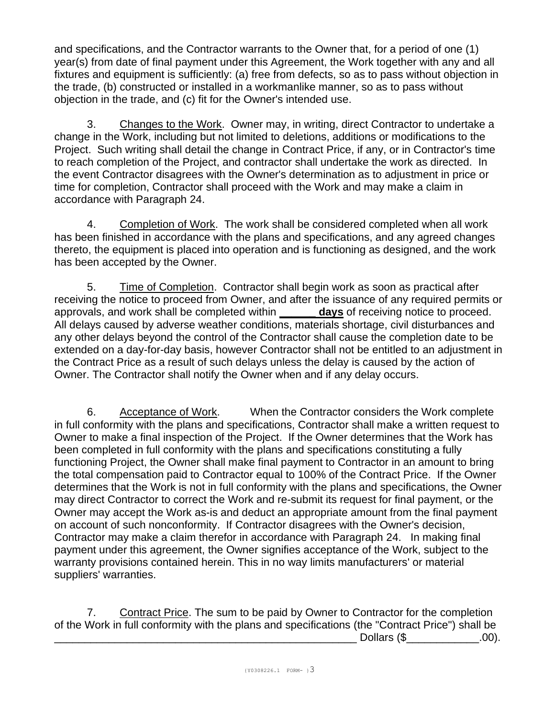and specifications, and the Contractor warrants to the Owner that, for a period of one (1) year(s) from date of final payment under this Agreement, the Work together with any and all fixtures and equipment is sufficiently: (a) free from defects, so as to pass without objection in the trade, (b) constructed or installed in a workmanlike manner, so as to pass without objection in the trade, and (c) fit for the Owner's intended use.

3. Changes to the Work. Owner may, in writing, direct Contractor to undertake a change in the Work, including but not limited to deletions, additions or modifications to the Project. Such writing shall detail the change in Contract Price, if any, or in Contractor's time to reach completion of the Project, and contractor shall undertake the work as directed. In the event Contractor disagrees with the Owner's determination as to adjustment in price or time for completion, Contractor shall proceed with the Work and may make a claim in accordance with Paragraph 24.

4. Completion of Work. The work shall be considered completed when all work has been finished in accordance with the plans and specifications, and any agreed changes thereto, the equipment is placed into operation and is functioning as designed, and the work has been accepted by the Owner.

5. Time of Completion. Contractor shall begin work as soon as practical after receiving the notice to proceed from Owner, and after the issuance of any required permits or approvals, and work shall be completed within **\_\_\_\_\_\_ days** of receiving notice to proceed. All delays caused by adverse weather conditions, materials shortage, civil disturbances and any other delays beyond the control of the Contractor shall cause the completion date to be extended on a day-for-day basis, however Contractor shall not be entitled to an adjustment in the Contract Price as a result of such delays unless the delay is caused by the action of Owner. The Contractor shall notify the Owner when and if any delay occurs.

6. Acceptance of Work. When the Contractor considers the Work complete in full conformity with the plans and specifications, Contractor shall make a written request to Owner to make a final inspection of the Project. If the Owner determines that the Work has been completed in full conformity with the plans and specifications constituting a fully functioning Project, the Owner shall make final payment to Contractor in an amount to bring the total compensation paid to Contractor equal to 100% of the Contract Price. If the Owner determines that the Work is not in full conformity with the plans and specifications, the Owner may direct Contractor to correct the Work and re-submit its request for final payment, or the Owner may accept the Work as-is and deduct an appropriate amount from the final payment on account of such nonconformity. If Contractor disagrees with the Owner's decision, Contractor may make a claim therefor in accordance with Paragraph 24. In making final payment under this agreement, the Owner signifies acceptance of the Work, subject to the warranty provisions contained herein. This in no way limits manufacturers' or material suppliers' warranties.

7. Contract Price. The sum to be paid by Owner to Contractor for the completion of the Work in full conformity with the plans and specifications (the "Contract Price") shall be \_\_\_\_\_\_\_\_\_\_\_\_\_\_\_\_\_\_\_\_\_\_\_\_\_\_\_\_\_\_\_\_\_\_\_\_\_\_\_\_\_\_\_\_\_\_\_\_\_\_ Dollars (\$\_\_\_\_\_\_\_\_\_\_\_\_.00).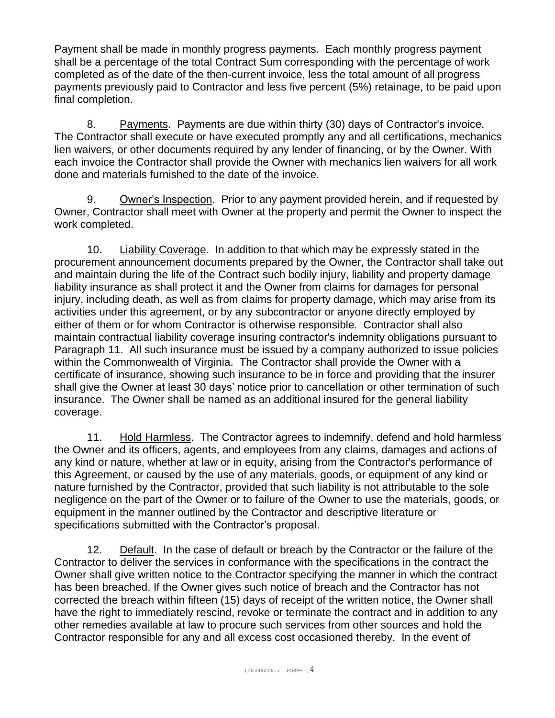Payment shall be made in monthly progress payments. Each monthly progress payment shall be a percentage of the total Contract Sum corresponding with the percentage of work completed as of the date of the then-current invoice, less the total amount of all progress payments previously paid to Contractor and less five percent (5%) retainage, to be paid upon final completion.

8. Payments. Payments are due within thirty (30) days of Contractor's invoice. The Contractor shall execute or have executed promptly any and all certifications, mechanics lien waivers, or other documents required by any lender of financing, or by the Owner. With each invoice the Contractor shall provide the Owner with mechanics lien waivers for all work done and materials furnished to the date of the invoice.

9. Owner's Inspection. Prior to any payment provided herein, and if requested by Owner, Contractor shall meet with Owner at the property and permit the Owner to inspect the work completed.

10. Liability Coverage. In addition to that which may be expressly stated in the procurement announcement documents prepared by the Owner, the Contractor shall take out and maintain during the life of the Contract such bodily injury, liability and property damage liability insurance as shall protect it and the Owner from claims for damages for personal injury, including death, as well as from claims for property damage, which may arise from its activities under this agreement, or by any subcontractor or anyone directly employed by either of them or for whom Contractor is otherwise responsible. Contractor shall also maintain contractual liability coverage insuring contractor's indemnity obligations pursuant to Paragraph 11. All such insurance must be issued by a company authorized to issue policies within the Commonwealth of Virginia. The Contractor shall provide the Owner with a certificate of insurance, showing such insurance to be in force and providing that the insurer shall give the Owner at least 30 days' notice prior to cancellation or other termination of such insurance. The Owner shall be named as an additional insured for the general liability coverage.

11. Hold Harmless.The Contractor agrees to indemnify, defend and hold harmless the Owner and its officers, agents, and employees from any claims, damages and actions of any kind or nature, whether at law or in equity, arising from the Contractor's performance of this Agreement, or caused by the use of any materials, goods, or equipment of any kind or nature furnished by the Contractor, provided that such liability is not attributable to the sole negligence on the part of the Owner or to failure of the Owner to use the materials, goods, or equipment in the manner outlined by the Contractor and descriptive literature or specifications submitted with the Contractor's proposal.

12. Default. In the case of default or breach by the Contractor or the failure of the Contractor to deliver the services in conformance with the specifications in the contract the Owner shall give written notice to the Contractor specifying the manner in which the contract has been breached. If the Owner gives such notice of breach and the Contractor has not corrected the breach within fifteen (15) days of receipt of the written notice, the Owner shall have the right to immediately rescind, revoke or terminate the contract and in addition to any other remedies available at law to procure such services from other sources and hold the Contractor responsible for any and all excess cost occasioned thereby. In the event of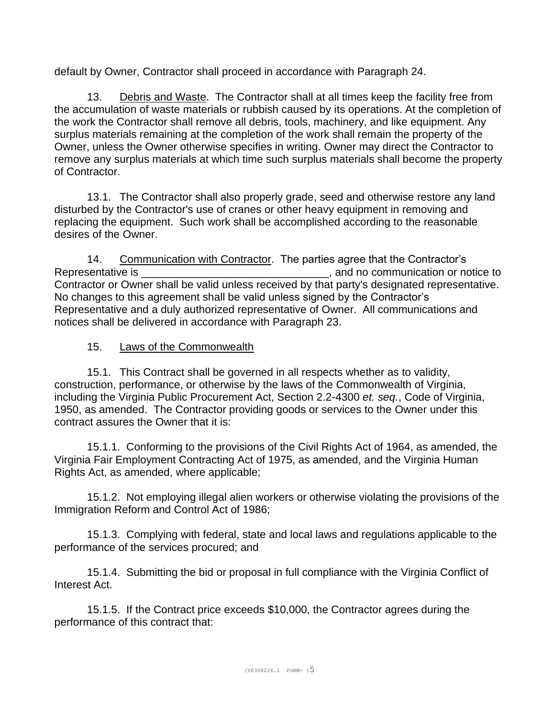default by Owner, Contractor shall proceed in accordance with Paragraph 24.

13. Debris and Waste. The Contractor shall at all times keep the facility free from the accumulation of waste materials or rubbish caused by its operations. At the completion of the work the Contractor shall remove all debris, tools, machinery, and like equipment. Any surplus materials remaining at the completion of the work shall remain the property of the Owner, unless the Owner otherwise specifies in writing. Owner may direct the Contractor to remove any surplus materials at which time such surplus materials shall become the property of Contractor.

13.1. The Contractor shall also properly grade, seed and otherwise restore any land disturbed by the Contractor's use of cranes or other heavy equipment in removing and replacing the equipment. Such work shall be accomplished according to the reasonable desires of the Owner.

14. Communication with Contractor. The parties agree that the Contractor's Representative is \_\_\_\_\_\_\_\_\_\_\_\_\_\_\_\_\_\_\_\_\_\_\_\_\_\_\_\_\_\_\_, and no communication or notice to Contractor or Owner shall be valid unless received by that party's designated representative. No changes to this agreement shall be valid unless signed by the Contractor's Representative and a duly authorized representative of Owner. All communications and notices shall be delivered in accordance with Paragraph 23.

### 15. Laws of the Commonwealth

15.1. This Contract shall be governed in all respects whether as to validity, construction, performance, or otherwise by the laws of the Commonwealth of Virginia, including the Virginia Public Procurement Act, Section 2.2-4300 *et. seq.*, Code of Virginia, 1950, as amended. The Contractor providing goods or services to the Owner under this contract assures the Owner that it is:

15.1.1. Conforming to the provisions of the Civil Rights Act of 1964, as amended, the Virginia Fair Employment Contracting Act of 1975, as amended, and the Virginia Human Rights Act, as amended, where applicable;

15.1.2. Not employing illegal alien workers or otherwise violating the provisions of the Immigration Reform and Control Act of 1986;

15.1.3. Complying with federal, state and local laws and regulations applicable to the performance of the services procured; and

15.1.4. Submitting the bid or proposal in full compliance with the Virginia Conflict of Interest Act.

15.1.5. If the Contract price exceeds \$10,000, the Contractor agrees during the performance of this contract that: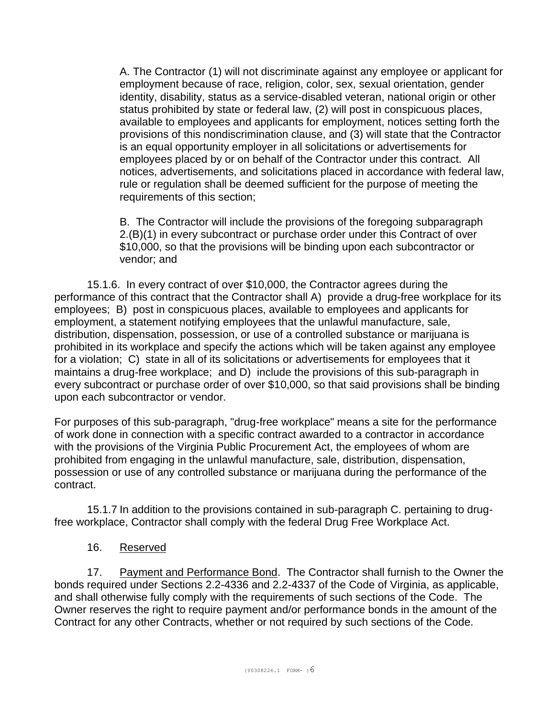A. The Contractor (1) will not discriminate against any employee or applicant for employment because of race, religion, color, sex, sexual orientation, gender identity, disability, status as a service-disabled veteran, national origin or other status prohibited by state or federal law, (2) will post in conspicuous places, available to employees and applicants for employment, notices setting forth the provisions of this nondiscrimination clause, and (3) will state that the Contractor is an equal opportunity employer in all solicitations or advertisements for employees placed by or on behalf of the Contractor under this contract. All notices, advertisements, and solicitations placed in accordance with federal law, rule or regulation shall be deemed sufficient for the purpose of meeting the requirements of this section;

B. The Contractor will include the provisions of the foregoing subparagraph 2.(B)(1) in every subcontract or purchase order under this Contract of over \$10,000, so that the provisions will be binding upon each subcontractor or vendor; and

15.1.6. In every contract of over \$10,000, the Contractor agrees during the performance of this contract that the Contractor shall A) provide a drug-free workplace for its employees; B) post in conspicuous places, available to employees and applicants for employment, a statement notifying employees that the unlawful manufacture, sale, distribution, dispensation, possession, or use of a controlled substance or marijuana is prohibited in its workplace and specify the actions which will be taken against any employee for a violation; C) state in all of its solicitations or advertisements for employees that it maintains a drug-free workplace; and D) include the provisions of this sub-paragraph in every subcontract or purchase order of over \$10,000, so that said provisions shall be binding upon each subcontractor or vendor.

For purposes of this sub-paragraph, "drug-free workplace" means a site for the performance of work done in connection with a specific contract awarded to a contractor in accordance with the provisions of the Virginia Public Procurement Act, the employees of whom are prohibited from engaging in the unlawful manufacture, sale, distribution, dispensation, possession or use of any controlled substance or marijuana during the performance of the contract.

15.1.7 In addition to the provisions contained in sub-paragraph C. pertaining to drugfree workplace, Contractor shall comply with the federal Drug Free Workplace Act.

### 16. Reserved

17. Payment and Performance Bond.The Contractor shall furnish to the Owner the bonds required under Sections 2.2-4336 and 2.2-4337 of the Code of Virginia, as applicable, and shall otherwise fully comply with the requirements of such sections of the Code. The Owner reserves the right to require payment and/or performance bonds in the amount of the Contract for any other Contracts, whether or not required by such sections of the Code.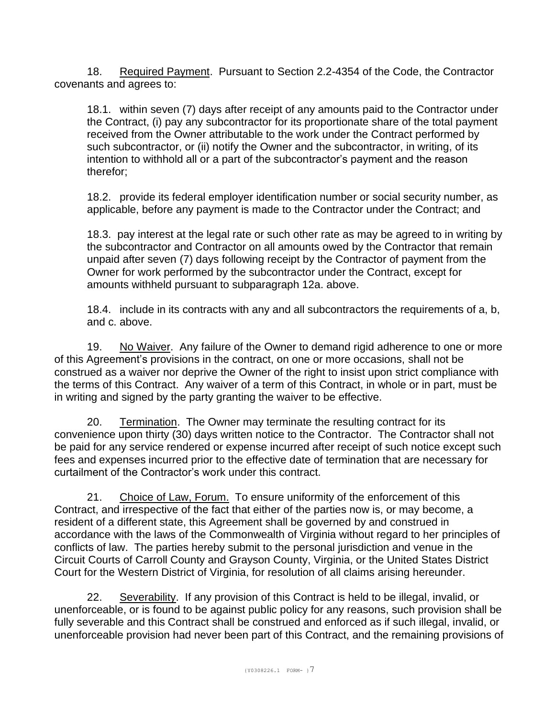18. Required Payment. Pursuant to Section 2.2-4354 of the Code, the Contractor covenants and agrees to:

18.1. within seven (7) days after receipt of any amounts paid to the Contractor under the Contract, (i) pay any subcontractor for its proportionate share of the total payment received from the Owner attributable to the work under the Contract performed by such subcontractor, or (ii) notify the Owner and the subcontractor, in writing, of its intention to withhold all or a part of the subcontractor's payment and the reason therefor;

18.2. provide its federal employer identification number or social security number, as applicable, before any payment is made to the Contractor under the Contract; and

18.3. pay interest at the legal rate or such other rate as may be agreed to in writing by the subcontractor and Contractor on all amounts owed by the Contractor that remain unpaid after seven (7) days following receipt by the Contractor of payment from the Owner for work performed by the subcontractor under the Contract, except for amounts withheld pursuant to subparagraph 12a. above.

18.4. include in its contracts with any and all subcontractors the requirements of a, b, and c. above.

19. No Waiver. Any failure of the Owner to demand rigid adherence to one or more of this Agreement's provisions in the contract, on one or more occasions, shall not be construed as a waiver nor deprive the Owner of the right to insist upon strict compliance with the terms of this Contract. Any waiver of a term of this Contract, in whole or in part, must be in writing and signed by the party granting the waiver to be effective.

20. Termination. The Owner may terminate the resulting contract for its convenience upon thirty (30) days written notice to the Contractor. The Contractor shall not be paid for any service rendered or expense incurred after receipt of such notice except such fees and expenses incurred prior to the effective date of termination that are necessary for curtailment of the Contractor's work under this contract.

21. Choice of Law, Forum. To ensure uniformity of the enforcement of this Contract, and irrespective of the fact that either of the parties now is, or may become, a resident of a different state, this Agreement shall be governed by and construed in accordance with the laws of the Commonwealth of Virginia without regard to her principles of conflicts of law. The parties hereby submit to the personal jurisdiction and venue in the Circuit Courts of Carroll County and Grayson County, Virginia, or the United States District Court for the Western District of Virginia, for resolution of all claims arising hereunder.

22. Severability. If any provision of this Contract is held to be illegal, invalid, or unenforceable, or is found to be against public policy for any reasons, such provision shall be fully severable and this Contract shall be construed and enforced as if such illegal, invalid, or unenforceable provision had never been part of this Contract, and the remaining provisions of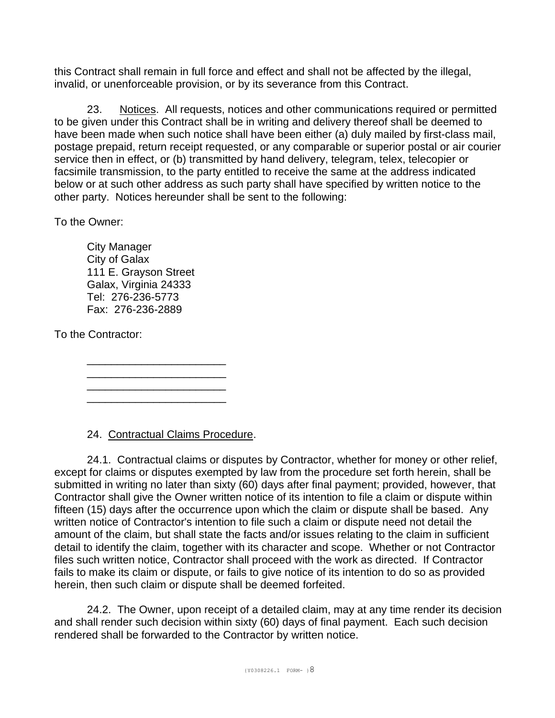this Contract shall remain in full force and effect and shall not be affected by the illegal, invalid, or unenforceable provision, or by its severance from this Contract.

23. Notices. All requests, notices and other communications required or permitted to be given under this Contract shall be in writing and delivery thereof shall be deemed to have been made when such notice shall have been either (a) duly mailed by first-class mail, postage prepaid, return receipt requested, or any comparable or superior postal or air courier service then in effect, or (b) transmitted by hand delivery, telegram, telex, telecopier or facsimile transmission, to the party entitled to receive the same at the address indicated below or at such other address as such party shall have specified by written notice to the other party. Notices hereunder shall be sent to the following:

To the Owner:

City Manager City of Galax 111 E. Grayson Street Galax, Virginia 24333 Tel: 276-236-5773 Fax: 276-236-2889

To the Contractor:

24. Contractual Claims Procedure.

\_\_\_\_\_\_\_\_\_\_\_\_\_\_\_\_\_\_\_\_\_\_\_ \_\_\_\_\_\_\_\_\_\_\_\_\_\_\_\_\_\_\_\_\_\_\_ \_\_\_\_\_\_\_\_\_\_\_\_\_\_\_\_\_\_\_\_\_\_\_ \_\_\_\_\_\_\_\_\_\_\_\_\_\_\_\_\_\_\_\_\_\_\_

24.1. Contractual claims or disputes by Contractor, whether for money or other relief, except for claims or disputes exempted by law from the procedure set forth herein, shall be submitted in writing no later than sixty (60) days after final payment; provided, however, that Contractor shall give the Owner written notice of its intention to file a claim or dispute within fifteen (15) days after the occurrence upon which the claim or dispute shall be based. Any written notice of Contractor's intention to file such a claim or dispute need not detail the amount of the claim, but shall state the facts and/or issues relating to the claim in sufficient detail to identify the claim, together with its character and scope. Whether or not Contractor files such written notice, Contractor shall proceed with the work as directed. If Contractor fails to make its claim or dispute, or fails to give notice of its intention to do so as provided herein, then such claim or dispute shall be deemed forfeited.

24.2. The Owner, upon receipt of a detailed claim, may at any time render its decision and shall render such decision within sixty (60) days of final payment. Each such decision rendered shall be forwarded to the Contractor by written notice.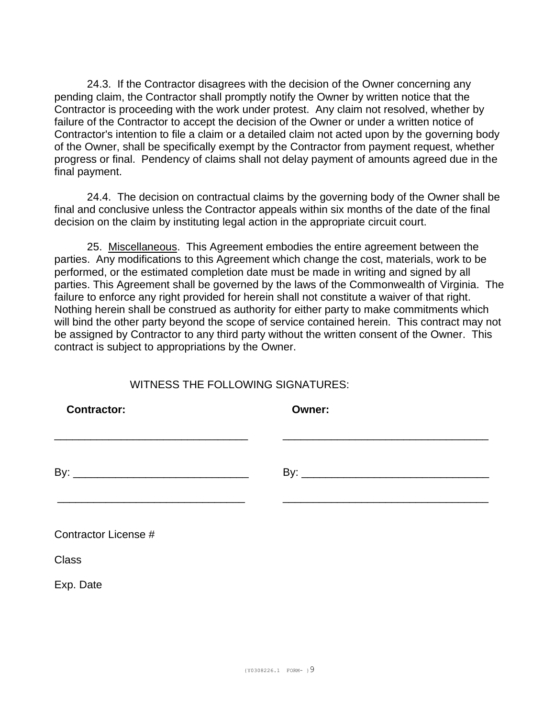24.3. If the Contractor disagrees with the decision of the Owner concerning any pending claim, the Contractor shall promptly notify the Owner by written notice that the Contractor is proceeding with the work under protest. Any claim not resolved, whether by failure of the Contractor to accept the decision of the Owner or under a written notice of Contractor's intention to file a claim or a detailed claim not acted upon by the governing body of the Owner, shall be specifically exempt by the Contractor from payment request, whether progress or final. Pendency of claims shall not delay payment of amounts agreed due in the final payment.

24.4. The decision on contractual claims by the governing body of the Owner shall be final and conclusive unless the Contractor appeals within six months of the date of the final decision on the claim by instituting legal action in the appropriate circuit court.

25. Miscellaneous. This Agreement embodies the entire agreement between the parties. Any modifications to this Agreement which change the cost, materials, work to be performed, or the estimated completion date must be made in writing and signed by all parties. This Agreement shall be governed by the laws of the Commonwealth of Virginia. The failure to enforce any right provided for herein shall not constitute a waiver of that right. Nothing herein shall be construed as authority for either party to make commitments which will bind the other party beyond the scope of service contained herein. This contract may not be assigned by Contractor to any third party without the written consent of the Owner. This contract is subject to appropriations by the Owner.

| <b>Contractor:</b>   | Owner: |  |
|----------------------|--------|--|
|                      |        |  |
|                      |        |  |
| Contractor License # |        |  |
| Class                |        |  |
| Exp. Date            |        |  |
|                      |        |  |

### WITNESS THE FOLLOWING SIGNATURES: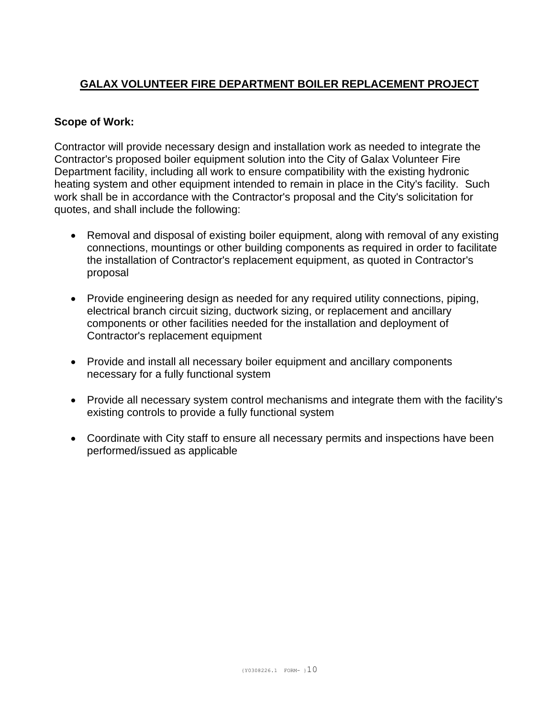### **GALAX VOLUNTEER FIRE DEPARTMENT BOILER REPLACEMENT PROJECT**

### **Scope of Work:**

Contractor will provide necessary design and installation work as needed to integrate the Contractor's proposed boiler equipment solution into the City of Galax Volunteer Fire Department facility, including all work to ensure compatibility with the existing hydronic heating system and other equipment intended to remain in place in the City's facility. Such work shall be in accordance with the Contractor's proposal and the City's solicitation for quotes, and shall include the following:

- Removal and disposal of existing boiler equipment, along with removal of any existing connections, mountings or other building components as required in order to facilitate the installation of Contractor's replacement equipment, as quoted in Contractor's proposal
- Provide engineering design as needed for any required utility connections, piping, electrical branch circuit sizing, ductwork sizing, or replacement and ancillary components or other facilities needed for the installation and deployment of Contractor's replacement equipment
- Provide and install all necessary boiler equipment and ancillary components necessary for a fully functional system
- Provide all necessary system control mechanisms and integrate them with the facility's existing controls to provide a fully functional system
- Coordinate with City staff to ensure all necessary permits and inspections have been performed/issued as applicable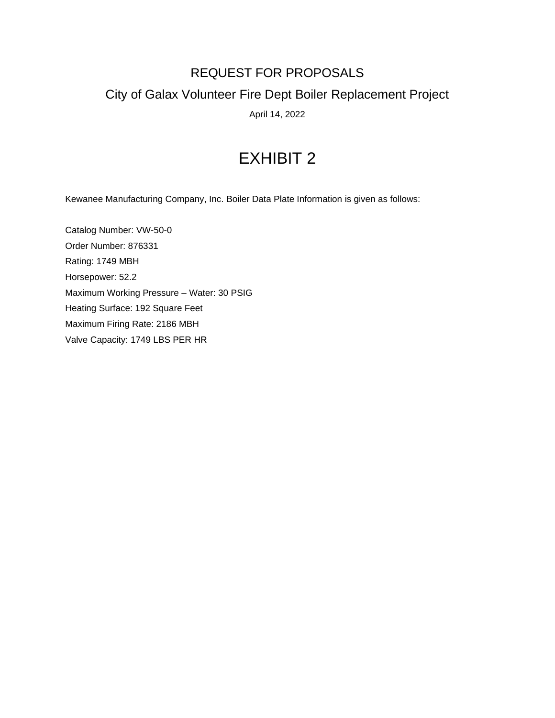### REQUEST FOR PROPOSALS

## City of Galax Volunteer Fire Dept Boiler Replacement Project

April 14, 2022

# EXHIBIT 2

Kewanee Manufacturing Company, Inc. Boiler Data Plate Information is given as follows:

Catalog Number: VW-50-0 Order Number: 876331 Rating: 1749 MBH Horsepower: 52.2 Maximum Working Pressure – Water: 30 PSIG Heating Surface: 192 Square Feet Maximum Firing Rate: 2186 MBH Valve Capacity: 1749 LBS PER HR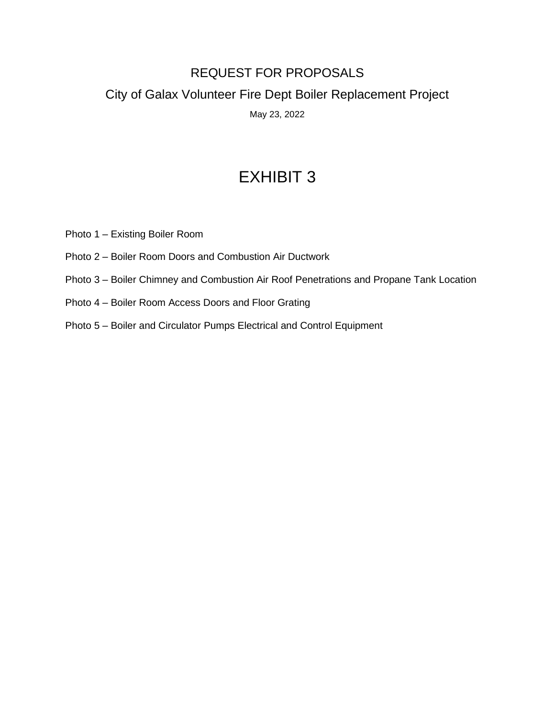## REQUEST FOR PROPOSALS City of Galax Volunteer Fire Dept Boiler Replacement Project May 23, 2022

# EXHIBIT 3

Photo 1 – Existing Boiler Room

- Photo 2 Boiler Room Doors and Combustion Air Ductwork
- Photo 3 Boiler Chimney and Combustion Air Roof Penetrations and Propane Tank Location
- Photo 4 Boiler Room Access Doors and Floor Grating
- Photo 5 Boiler and Circulator Pumps Electrical and Control Equipment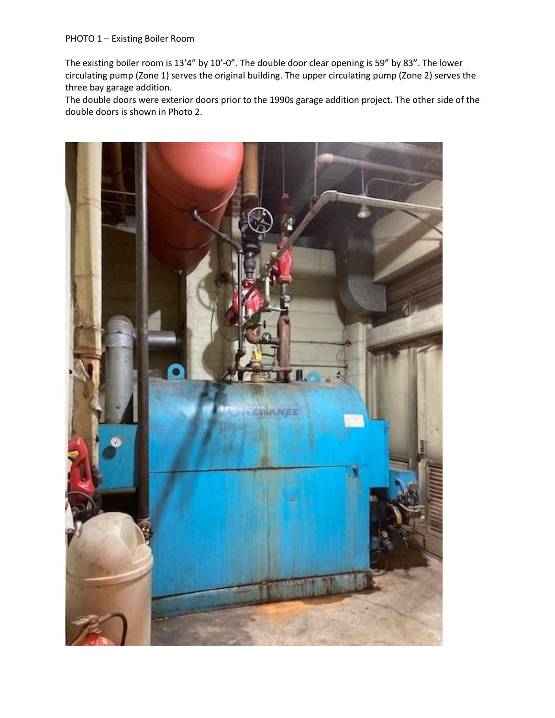The existing boiler room is 13'4" by 10'-0". The double door clear opening is 59" by 83". The lower circulating pump (Zone 1) serves the original building. The upper circulating pump (Zone 2) serves the three bay garage addition.

The double doors were exterior doors prior to the 1990s garage addition project. The other side of the double doors is shown in Photo 2.

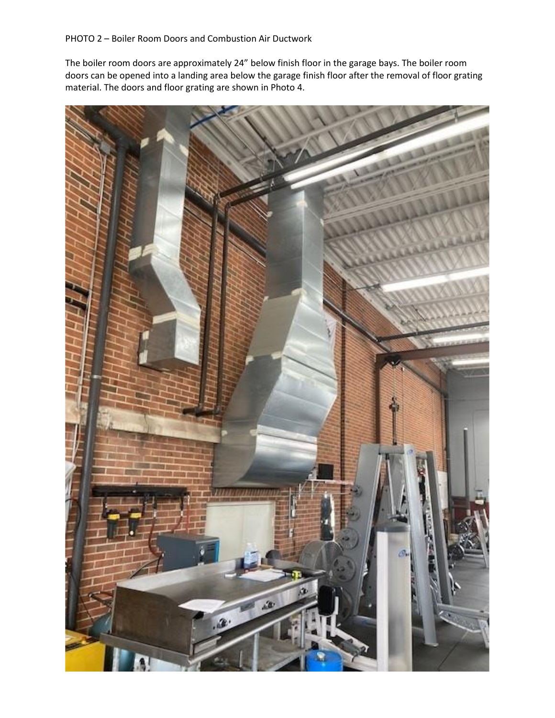The boiler room doors are approximately 24" below finish floor in the garage bays. The boiler room doors can be opened into a landing area below the garage finish floor after the removal of floor grating material. The doors and floor grating are shown in Photo 4.

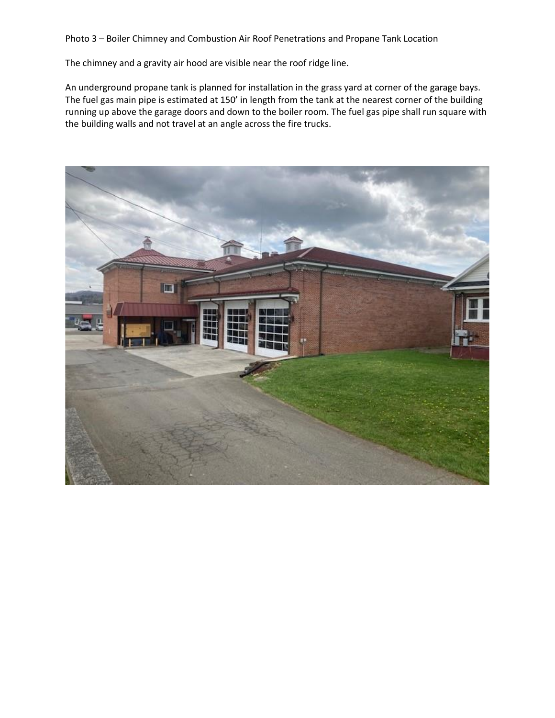Photo 3 – Boiler Chimney and Combustion Air Roof Penetrations and Propane Tank Location

The chimney and a gravity air hood are visible near the roof ridge line.

An underground propane tank is planned for installation in the grass yard at corner of the garage bays. The fuel gas main pipe is estimated at 150' in length from the tank at the nearest corner of the building running up above the garage doors and down to the boiler room. The fuel gas pipe shall run square with the building walls and not travel at an angle across the fire trucks.

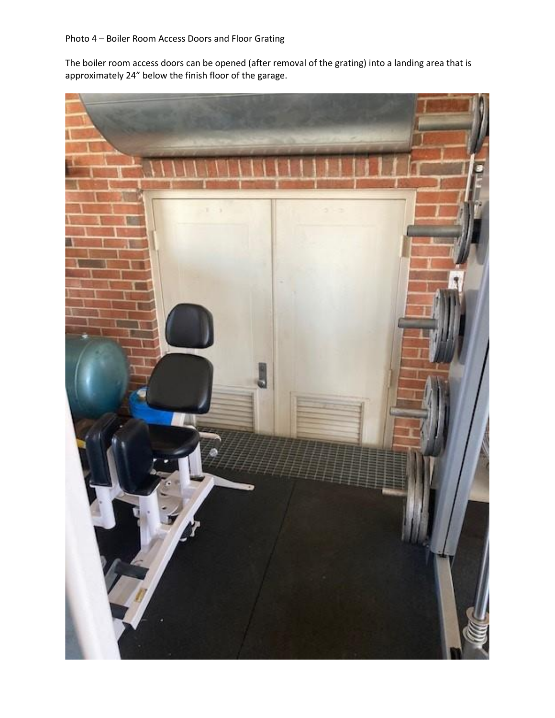The boiler room access doors can be opened (after removal of the grating) into a landing area that is approximately 24" below the finish floor of the garage.